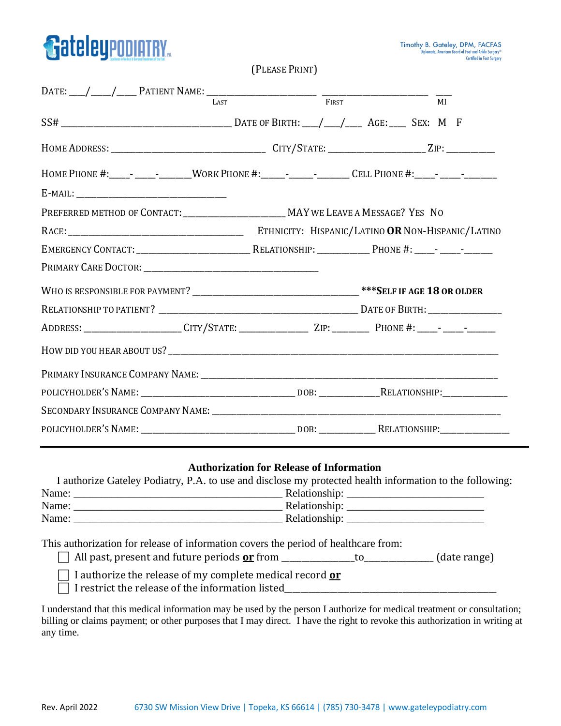

(PLEASE PRINT)

|                                                                                                                |  | MI |
|----------------------------------------------------------------------------------------------------------------|--|----|
|                                                                                                                |  |    |
|                                                                                                                |  |    |
| HOME PHONE #:_____- ________WORK PHONE #:_________________CELL PHONE #:_____- ______________________           |  |    |
|                                                                                                                |  |    |
| PREFERRED METHOD OF CONTACT: _____________________________ MAY WE LEAVE A MESSAGE? YES NO                      |  |    |
|                                                                                                                |  |    |
|                                                                                                                |  |    |
|                                                                                                                |  |    |
|                                                                                                                |  |    |
|                                                                                                                |  |    |
| ADDRESS: ______________________CITY/STATE: __________________ZIP: _____________PHONE #: _____- _____-________  |  |    |
|                                                                                                                |  |    |
| PRIMARY INSURANCE COMPANY NAME: COMPANY NAME:                                                                  |  |    |
| POLICYHOLDER'S NAME: ___________________________________DOB: __________________RELATIONSHIP: _________________ |  |    |
|                                                                                                                |  |    |
| POLICYHOLDER'S NAME: ___________________________________DOB: __________________RELATIONSHIP:_____________      |  |    |

#### **Authorization for Release of Information**

|       | I authorize Gateley Podiatry, P.A. to use and disclose my protected health information to the following: |
|-------|----------------------------------------------------------------------------------------------------------|
| Name: | Relationship:                                                                                            |
| Name: | Relationship:                                                                                            |
| Name: | Relationship:                                                                                            |

This authorization for release of information covers the period of healthcare from:

 $\Box$  All past, present and future periods  $\underline{\mathbf{or}}$  from \_\_\_\_\_\_\_\_\_\_\_\_\_\_\_\_to\_\_\_\_\_\_\_\_\_\_\_\_\_\_\_\_(date range)

I authorize the release of my complete medical record **or**

 $\Box$  I restrict the release of the information listed

I understand that this medical information may be used by the person I authorize for medical treatment or consultation; billing or claims payment; or other purposes that I may direct. I have the right to revoke this authorization in writing at any time.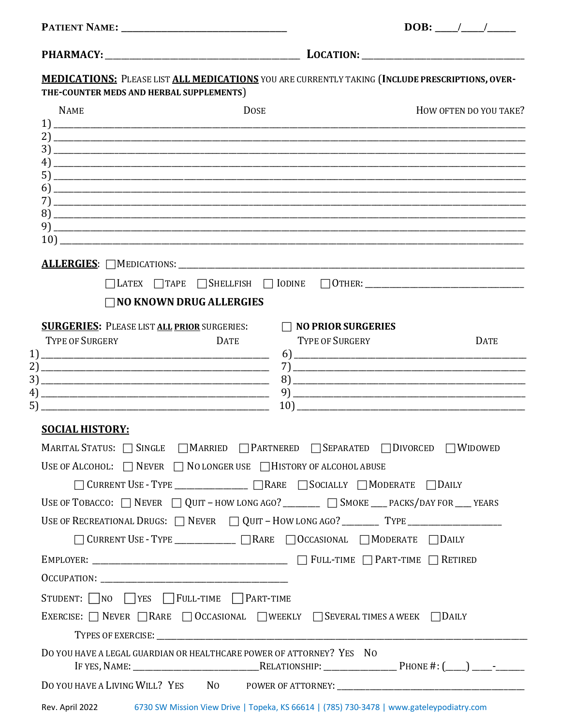| <b>PATIENT NAME:</b> |  |
|----------------------|--|
|----------------------|--|

| DOB: |  |  |
|------|--|--|
|      |  |  |

| <b>MEDICATIONS:</b> PLEASE LIST ALL MEDICATIONS YOU ARE CURRENTLY TAKING (INCLUDE PRESCRIPTIONS, OVER-      |             |                                                                                                                                                                                                                                                                                                                     |                        |
|-------------------------------------------------------------------------------------------------------------|-------------|---------------------------------------------------------------------------------------------------------------------------------------------------------------------------------------------------------------------------------------------------------------------------------------------------------------------|------------------------|
| THE-COUNTER MEDS AND HERBAL SUPPLEMENTS)                                                                    |             |                                                                                                                                                                                                                                                                                                                     |                        |
| <b>NAME</b>                                                                                                 | <b>DOSE</b> |                                                                                                                                                                                                                                                                                                                     | HOW OFTEN DO YOU TAKE? |
|                                                                                                             |             |                                                                                                                                                                                                                                                                                                                     |                        |
|                                                                                                             |             |                                                                                                                                                                                                                                                                                                                     |                        |
|                                                                                                             |             |                                                                                                                                                                                                                                                                                                                     |                        |
| 5)                                                                                                          |             |                                                                                                                                                                                                                                                                                                                     |                        |
|                                                                                                             |             |                                                                                                                                                                                                                                                                                                                     |                        |
|                                                                                                             |             |                                                                                                                                                                                                                                                                                                                     |                        |
|                                                                                                             |             |                                                                                                                                                                                                                                                                                                                     |                        |
|                                                                                                             |             |                                                                                                                                                                                                                                                                                                                     |                        |
|                                                                                                             |             |                                                                                                                                                                                                                                                                                                                     |                        |
|                                                                                                             |             |                                                                                                                                                                                                                                                                                                                     |                        |
| $\Box$ NO KNOWN DRUG ALLERGIES                                                                              |             |                                                                                                                                                                                                                                                                                                                     |                        |
| <b>SURGERIES:</b> PLEASE LIST ALL PRIOR SURGERIES:           NO PRIOR SURGERIES                             |             |                                                                                                                                                                                                                                                                                                                     |                        |
| <b>TYPE OF SURGERY</b><br><b>DATE</b>                                                                       |             | <b>TYPE OF SURGERY</b>                                                                                                                                                                                                                                                                                              | <b>DATE</b>            |
|                                                                                                             |             |                                                                                                                                                                                                                                                                                                                     |                        |
|                                                                                                             |             |                                                                                                                                                                                                                                                                                                                     |                        |
|                                                                                                             |             |                                                                                                                                                                                                                                                                                                                     |                        |
| <b>SOCIAL HISTORY:</b>                                                                                      |             |                                                                                                                                                                                                                                                                                                                     |                        |
| MARITAL STATUS: SINGLE MARRIED PARTNERED SEPARATED DIVORCED WIDOWED                                         |             |                                                                                                                                                                                                                                                                                                                     |                        |
| USE OF ALCOHOL: $\Box$ Never $\Box$ NO LONGER USE $\Box$ HISTORY OF ALCOHOL ABUSE                           |             |                                                                                                                                                                                                                                                                                                                     |                        |
| □ CURRENT USE - TYPE _____________ □ RARE □ SOCIALLY □ MODERATE □ DAILY                                     |             |                                                                                                                                                                                                                                                                                                                     |                        |
| USE OF TOBACCO: $\Box$ NEVER $\Box$ QUIT - HOW LONG AGO? ________ $\Box$ SMOKE ___ PACKS/DAY FOR ___ YEARS  |             |                                                                                                                                                                                                                                                                                                                     |                        |
|                                                                                                             |             |                                                                                                                                                                                                                                                                                                                     |                        |
| □ CURRENT USE - TYPE ____________ □ RARE □ OCCASIONAL □ MODERATE □ DAILY                                    |             |                                                                                                                                                                                                                                                                                                                     |                        |
|                                                                                                             |             |                                                                                                                                                                                                                                                                                                                     |                        |
|                                                                                                             |             |                                                                                                                                                                                                                                                                                                                     |                        |
|                                                                                                             |             |                                                                                                                                                                                                                                                                                                                     |                        |
| STUDENT: NO TYES FULL-TIME PART-TIME                                                                        |             |                                                                                                                                                                                                                                                                                                                     |                        |
| EXERCISE: $\Box$ NEVER $\Box$ RARE $\Box$ OCCASIONAL $\Box$ WEEKLY $\Box$ SEVERAL TIMES A WEEK $\Box$ DAILY |             |                                                                                                                                                                                                                                                                                                                     |                        |
|                                                                                                             |             |                                                                                                                                                                                                                                                                                                                     |                        |
| DO YOU HAVE A LEGAL GUARDIAN OR HEALTHCARE POWER OF ATTORNEY? YES NO                                        |             |                                                                                                                                                                                                                                                                                                                     |                        |
| DO YOU HAVE A LIVING WILL? YES NO POWER OF ATTORNEY: ___________________________                            |             |                                                                                                                                                                                                                                                                                                                     |                        |
|                                                                                                             |             | $\frac{1}{2}$ $\frac{1}{2}$ $\frac{1}{2}$ $\frac{1}{2}$ $\frac{1}{2}$ $\frac{1}{2}$ $\frac{1}{2}$ $\frac{1}{2}$ $\frac{1}{2}$ $\frac{1}{2}$ $\frac{1}{2}$ $\frac{1}{2}$ $\frac{1}{2}$ $\frac{1}{2}$ $\frac{1}{2}$ $\frac{1}{2}$ $\frac{1}{2}$ $\frac{1}{2}$ $\frac{1}{2}$ $\frac{1}{2}$ $\frac{1}{2}$ $\frac{1}{2}$ |                        |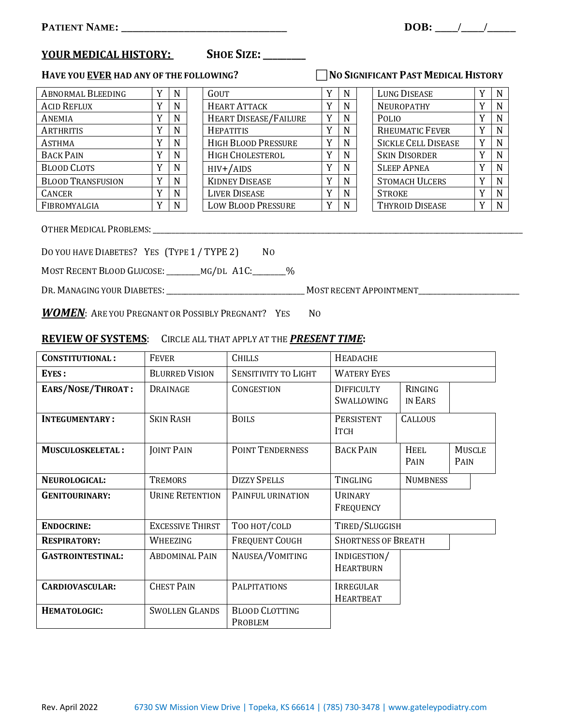# **YOUR MEDICAL HISTORY: SHOE SIZE:\_\_\_\_\_\_\_\_\_**

## **HAVE YOU <u>EVER</u> HAD ANY OF THE FOLLOWING? NO SIGNIFICANT PAST MEDICAL HISTORY**

| <b>ABNORMAL BLEEDING</b> |   | N | <b>GOUT</b>                  |   | N | <b>LUNG DISEASE</b>        | ٦T             | N |
|--------------------------|---|---|------------------------------|---|---|----------------------------|----------------|---|
| <b>ACID REFLUX</b>       | v | N | <b>HEART ATTACK</b>          |   | N | NEUROPATHY                 | v              | N |
| ANEMIA                   |   | N | <b>HEART DISEASE/FAILURE</b> | Y | N | <b>POLIO</b>               | v              | N |
| ARTHRITIS                |   | N | <b>HEPATITIS</b>             |   | N | <b>RHEUMATIC FEVER</b>     |                | N |
| ASTHMA                   | v | N | <b>HIGH BLOOD PRESSURE</b>   |   | N | <b>SICKLE CELL DISEASE</b> | R Z            | N |
| <b>BACK PAIN</b>         |   | N | <b>HIGH CHOLESTEROL</b>      |   | N | <b>SKIN DISORDER</b>       |                | N |
| <b>BLOOD CLOTS</b>       |   | N | $HIV+ / AIDS$                |   | N | <b>SLEEP APNEA</b>         |                | N |
| <b>BLOOD TRANSFUSION</b> | v | N | <b>KIDNEY DISEASE</b>        |   | N | <b>STOMACH ULCERS</b>      | $\overline{ }$ | N |
| <b>CANCER</b>            | v | N | <b>LIVER DISEASE</b>         |   | N | <b>STROKE</b>              | $\overline{ }$ | N |
| FIBROMYALGIA             |   | N | <b>LOW BLOOD PRESSURE</b>    |   | N | <b>THYROID DISEASE</b>     |                | N |

| Abnormal Bleeding        |    | N | GOUT                         |              | N | LUNG DISEASE               | - N         |
|--------------------------|----|---|------------------------------|--------------|---|----------------------------|-------------|
| <b>ACID REFLUX</b>       |    | N | <b>HEART ATTACK</b>          |              | N | <b>NEUROPATHY</b>          | $\mathbf N$ |
| Anemia                   | ٦z | N | <b>HEART DISEASE/FAILURE</b> | Y            | N | <b>POLIO</b>               | N           |
| ARTHRITIS                |    | N | <b>HEPATITIS</b>             |              | N | <b>RHEUMATIC FEVER</b>     | N           |
| Asthma                   | ٦z | N | <b>HIGH BLOOD PRESSURE</b>   |              | N | <b>SICKLE CELL DISEASE</b> | N           |
| <b>BACK PAIN</b>         |    | N | HIGH CHOLESTEROL             | v            | N | <b>SKIN DISORDER</b>       | N           |
| <b>BLOOD CLOTS</b>       |    | N | $HIV+ / AIDS$                |              | N | <b>SLEEP APNEA</b>         | $\mathbf N$ |
| <b>BLOOD TRANSFUSION</b> |    | N | <b>KIDNEY DISEASE</b>        |              | N | <b>STOMACH ULCERS</b>      | N           |
| CANCER                   | v  | N | <b>LIVER DISEASE</b>         | $\mathbf{v}$ | N | <b>STROKE</b>              | N           |
| FIBROMYALGIA             |    | N | <b>LOW BLOOD PRESSURE</b>    |              | N | <b>THYROID DISEASE</b>     | N           |
|                          |    |   |                              |              |   |                            |             |

| <b>LUNG DISEASE</b>        | Y | N |
|----------------------------|---|---|
| <b>NEUROPATHY</b>          | Y | N |
| POLIO                      | Y | N |
| <b>RHEUMATIC FEVER</b>     | Y | N |
| <b>SICKLE CELL DISEASE</b> | Y | N |
| <b>SKIN DISORDER</b>       | Y | N |
| <b>SLEEP APNEA</b>         | Y | N |
| <b>STOMACH ULCERS</b>      | Y | N |
| <b>STROKE</b>              | Y | N |
| <b>THYROID DISEASE</b>     |   |   |

OTHER MEDICAL PROBLEMS:\_\_\_\_\_\_\_\_\_\_\_\_\_\_\_\_\_\_\_\_\_\_\_\_\_\_\_\_\_\_\_\_\_\_\_\_\_\_\_\_\_\_\_\_\_\_\_\_\_\_\_\_\_\_\_\_\_\_\_\_\_\_\_\_\_\_\_\_\_\_\_\_\_\_\_\_\_\_\_\_\_\_\_\_\_\_\_\_\_\_\_\_\_\_\_\_\_\_\_

DO YOU HAVE DIABETES? YES (TYPE 1 / TYPE 2) NO

MOST RECENT BLOOD GLUCOSE:\_\_\_\_\_\_\_\_\_MG/DL A1C:\_\_\_\_\_\_\_\_\_%

DR. MANAGING YOUR DIABETES:\_\_\_\_\_\_\_\_\_\_\_\_\_\_\_\_\_\_\_\_\_\_\_\_\_\_\_\_\_\_\_\_\_\_\_\_\_ MOST RECENT APPOINTMENT\_\_\_\_\_\_\_\_\_\_\_\_\_\_\_\_\_\_\_\_\_\_\_\_\_\_\_

*WOMEN*: ARE YOU PREGNANT OR POSSIBLY PREGNANT? YES NO

## **REVIEW OF SYSTEMS**: CIRCLE ALL THAT APPLY AT THE *PRESENT TIME***:**

| <b>CONSTITUTIONAL:</b>   | <b>FEVER</b>            | <b>CHILLS</b>                    | <b>HEADACHE</b>                                              |                     |                       |  |
|--------------------------|-------------------------|----------------------------------|--------------------------------------------------------------|---------------------|-----------------------|--|
| <b>EYES:</b>             | <b>BLURRED VISION</b>   | <b>SENSITIVITY TO LIGHT</b>      | <b>WATERY EYES</b>                                           |                     |                       |  |
| EARS/NOSE/THROAT:        | <b>DRAINAGE</b>         | CONGESTION                       | <b>DIFFICULTY</b><br><b>RINGING</b><br>SWALLOWING<br>IN EARS |                     |                       |  |
| <b>INTEGUMENTARY:</b>    | <b>SKIN RASH</b>        | <b>BOILS</b>                     | PERSISTENT<br><b>ITCH</b>                                    | <b>CALLOUS</b>      |                       |  |
| <b>MUSCULOSKELETAL:</b>  | <b>JOINT PAIN</b>       | <b>POINT TENDERNESS</b>          | <b>BACK PAIN</b>                                             | <b>HEEL</b><br>PAIN | <b>MUSCLE</b><br>PAIN |  |
| NEUROLOGICAL:            | <b>TREMORS</b>          | <b>DIZZY SPELLS</b>              | TINGLING                                                     | <b>NUMBNESS</b>     |                       |  |
| <b>GENITOURINARY:</b>    | <b>URINE RETENTION</b>  | PAINFUL URINATION                | <b>URINARY</b><br><b>FREQUENCY</b>                           |                     |                       |  |
| <b>ENDOCRINE:</b>        | <b>EXCESSIVE THIRST</b> | TOO HOT/COLD                     | TIRED/SLUGGISH                                               |                     |                       |  |
| <b>RESPIRATORY:</b>      | WHEEZING                | <b>FREQUENT COUGH</b>            | <b>SHORTNESS OF BREATH</b>                                   |                     |                       |  |
| <b>GASTROINTESTINAL:</b> | <b>ABDOMINAL PAIN</b>   | NAUSEA/VOMITING                  | INDIGESTION/<br><b>HEARTBURN</b>                             |                     |                       |  |
| CARDIOVASCULAR:          | <b>CHEST PAIN</b>       | <b>PALPITATIONS</b>              | IRREGULAR<br><b>HEARTBEAT</b>                                |                     |                       |  |
| <b>HEMATOLOGIC:</b>      | <b>SWOLLEN GLANDS</b>   | <b>BLOOD CLOTTING</b><br>PROBLEM |                                                              |                     |                       |  |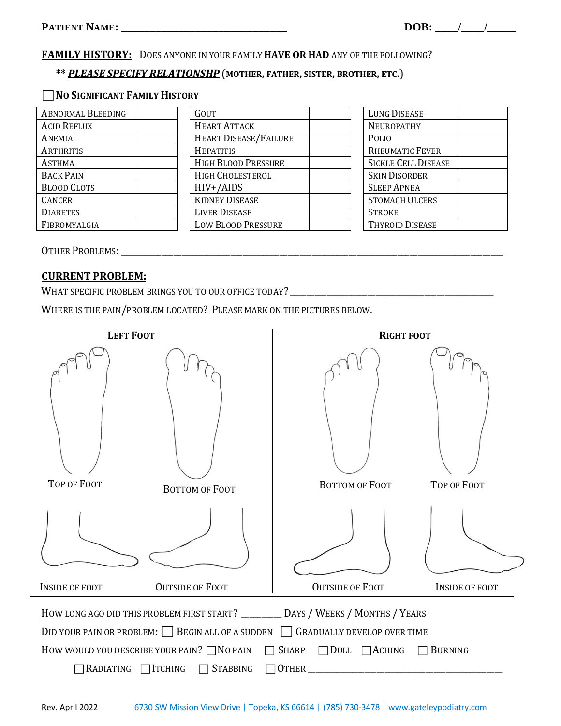**NO SIGNIFICANT FAMILY HISTORY**

#### **FAMILY HISTORY:** DOES ANYONE IN YOUR FAMILY **HAVE OR HAD** ANY OF THE FOLLOWING?

# **\*\*** *PLEASE SPECIFY RELATIONSHP* (**MOTHER, FATHER, SISTER, BROTHER, ETC.**)

| <b>ABNORMAL BLEEDING</b> | GOUT                         | <b>LUNG DISEASE</b>        |
|--------------------------|------------------------------|----------------------------|
| <b>ACID REFLUX</b>       | <b>HEART ATTACK</b>          | <b>NEUROPATHY</b>          |
| ANEMIA                   | <b>HEART DISEASE/FAILURE</b> | POLIO                      |
| ARTHRITIS                | <b>HEPATITIS</b>             | <b>RHEUMATIC FEVER</b>     |
| <b>ASTHMA</b>            | <b>HIGH BLOOD PRESSURE</b>   | <b>SICKLE CELL DISEASE</b> |
| <b>BACK PAIN</b>         | HIGH CHOLESTEROL             | <b>SKIN DISORDER</b>       |
| <b>BLOOD CLOTS</b>       | $HIV+}/AIDS$                 | <b>SLEEP APNEA</b>         |
| <b>CANCER</b>            | <b>KIDNEY DISEASE</b>        | <b>STOMACH ULCERS</b>      |
| <b>DIABETES</b>          | <b>LIVER DISEASE</b>         | <b>STROKE</b>              |
| FIBROMYALGIA             | <b>LOW BLOOD PRESSURE</b>    | <b>THYROID DISEASE</b>     |
|                          |                              |                            |

OTHER PROBLEMS:\_\_\_\_\_\_\_\_\_\_\_\_\_\_\_\_\_\_\_\_\_\_\_\_\_\_\_\_\_\_\_\_\_\_\_\_\_\_\_\_\_\_\_\_\_\_\_\_\_\_\_\_\_\_\_\_\_\_\_\_\_\_\_\_\_\_\_\_\_\_\_\_\_\_\_\_\_\_\_\_\_\_\_\_\_\_\_\_\_\_\_\_\_\_

### **CURRENT PROBLEM:**

WHAT SPECIFIC PROBLEM BRINGS YOU TO OUR OFFICE TODAY? \_\_\_\_\_\_\_\_\_\_\_\_\_\_\_\_\_\_\_\_\_\_\_\_\_\_\_\_\_\_\_\_\_\_\_\_\_\_\_\_\_\_\_\_\_\_\_\_\_\_

WHERE IS THE PAIN/PROBLEM LOCATED? PLEASE MARK ON THE PICTURES BELOW.

| <b>LEFT FOOT</b>      |                                                        | <b>RIGHT FOOT</b>                                                                                                        |                       |  |  |  |  |
|-----------------------|--------------------------------------------------------|--------------------------------------------------------------------------------------------------------------------------|-----------------------|--|--|--|--|
| TOP OF FOOT           | <b>BOTTOM OF FOOT</b>                                  | <b>BOTTOM OF FOOT</b>                                                                                                    | TOP OF FOOT           |  |  |  |  |
|                       |                                                        |                                                                                                                          |                       |  |  |  |  |
| <b>INSIDE OF FOOT</b> | <b>OUTSIDE OF FOOT</b>                                 | <b>OUTSIDE OF FOOT</b>                                                                                                   | <b>INSIDE OF FOOT</b> |  |  |  |  |
|                       | DID YOUR PAIN OR PROBLEM: $\Box$ BEGIN ALL OF A SUDDEN | HOW LONG AGO DID THIS PROBLEM FIRST START? _________ DAYS / WEEKS / MONTHS / YEARS<br><b>GRADUALLY DEVELOP OVER TIME</b> |                       |  |  |  |  |
|                       | How would you describe your pain? $\Box$ No pain       | <b>SHARP</b><br>DULL<br>$\Box$ ACHING<br>$\Box$                                                                          | <b>BURNING</b>        |  |  |  |  |
| RADIATING             | ∏TCHING<br><b>STABBING</b>                             | <b>OTHER</b>                                                                                                             |                       |  |  |  |  |
|                       |                                                        |                                                                                                                          |                       |  |  |  |  |